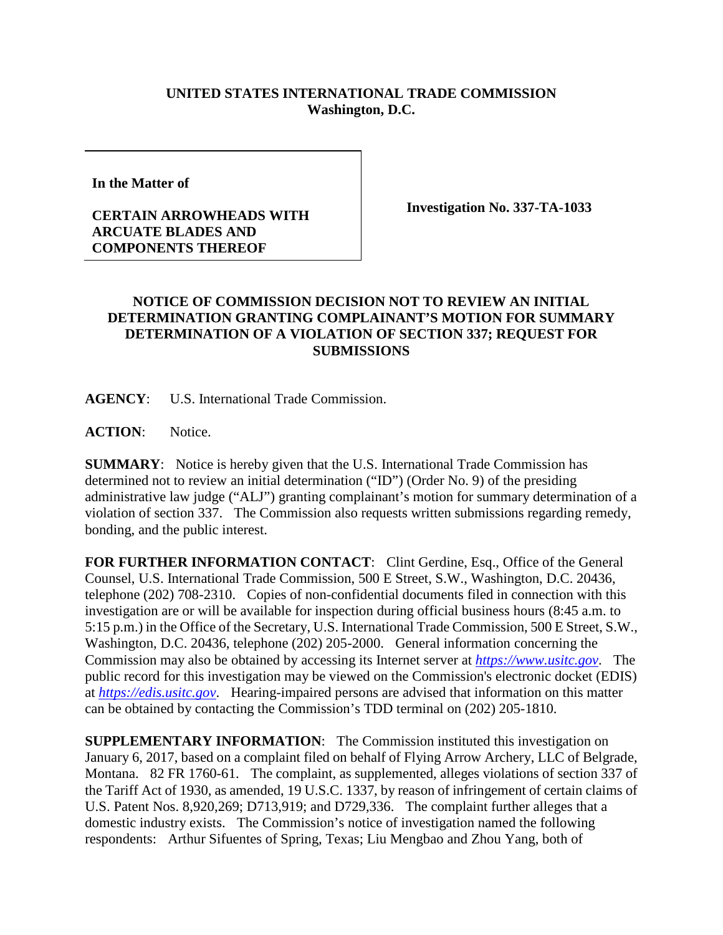## **UNITED STATES INTERNATIONAL TRADE COMMISSION Washington, D.C.**

**In the Matter of** 

## **CERTAIN ARROWHEADS WITH ARCUATE BLADES AND COMPONENTS THEREOF**

**Investigation No. 337-TA-1033**

## **NOTICE OF COMMISSION DECISION NOT TO REVIEW AN INITIAL DETERMINATION GRANTING COMPLAINANT'S MOTION FOR SUMMARY DETERMINATION OF A VIOLATION OF SECTION 337; REQUEST FOR SUBMISSIONS**

**AGENCY**: U.S. International Trade Commission.

**ACTION**: Notice.

**SUMMARY**: Notice is hereby given that the U.S. International Trade Commission has determined not to review an initial determination ("ID") (Order No. 9) of the presiding administrative law judge ("ALJ") granting complainant's motion for summary determination of a violation of section 337. The Commission also requests written submissions regarding remedy, bonding, and the public interest.

FOR FURTHER INFORMATION CONTACT: Clint Gerdine, Esq., Office of the General Counsel, U.S. International Trade Commission, 500 E Street, S.W., Washington, D.C. 20436, telephone (202) 708-2310. Copies of non-confidential documents filed in connection with this investigation are or will be available for inspection during official business hours (8:45 a.m. to 5:15 p.m.) in the Office of the Secretary, U.S. International Trade Commission, 500 E Street, S.W., Washington, D.C. 20436, telephone (202) 205-2000. General information concerning the Commission may also be obtained by accessing its Internet server at *[https://www.usitc.gov](https://www.usitc.gov/)*. The public record for this investigation may be viewed on the Commission's electronic docket (EDIS) at *[https://edis.usitc.gov](https://edis.usitc.gov/)*. Hearing-impaired persons are advised that information on this matter can be obtained by contacting the Commission's TDD terminal on (202) 205-1810.

**SUPPLEMENTARY INFORMATION:** The Commission instituted this investigation on January 6, 2017, based on a complaint filed on behalf of Flying Arrow Archery, LLC of Belgrade, Montana. 82 FR 1760-61. The complaint, as supplemented, alleges violations of section 337 of the Tariff Act of 1930, as amended, 19 U.S.C. 1337, by reason of infringement of certain claims of U.S. Patent Nos. 8,920,269; D713,919; and D729,336. The complaint further alleges that a domestic industry exists. The Commission's notice of investigation named the following respondents: Arthur Sifuentes of Spring, Texas; Liu Mengbao and Zhou Yang, both of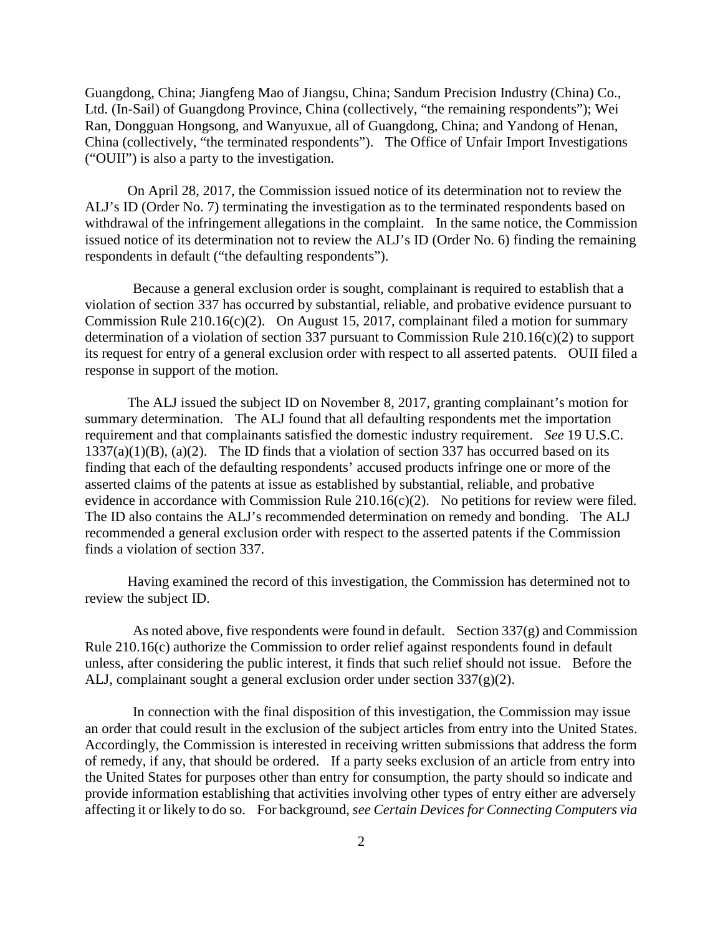Guangdong, China; Jiangfeng Mao of Jiangsu, China; Sandum Precision Industry (China) Co., Ltd. (In-Sail) of Guangdong Province, China (collectively, "the remaining respondents"); Wei Ran, Dongguan Hongsong, and Wanyuxue, all of Guangdong, China; and Yandong of Henan, China (collectively, "the terminated respondents"). The Office of Unfair Import Investigations ("OUII") is also a party to the investigation.

On April 28, 2017, the Commission issued notice of its determination not to review the ALJ's ID (Order No. 7) terminating the investigation as to the terminated respondents based on withdrawal of the infringement allegations in the complaint. In the same notice, the Commission issued notice of its determination not to review the ALJ's ID (Order No. 6) finding the remaining respondents in default ("the defaulting respondents").

Because a general exclusion order is sought, complainant is required to establish that a violation of section 337 has occurred by substantial, reliable, and probative evidence pursuant to Commission Rule 210.16(c)(2). On August 15, 2017, complainant filed a motion for summary determination of a violation of section 337 pursuant to Commission Rule 210.16(c)(2) to support its request for entry of a general exclusion order with respect to all asserted patents. OUII filed a response in support of the motion.

The ALJ issued the subject ID on November 8, 2017, granting complainant's motion for summary determination. The ALJ found that all defaulting respondents met the importation requirement and that complainants satisfied the domestic industry requirement. *See* 19 U.S.C.  $1337(a)(1)(B)$ ,  $(a)(2)$ . The ID finds that a violation of section 337 has occurred based on its finding that each of the defaulting respondents' accused products infringe one or more of the asserted claims of the patents at issue as established by substantial, reliable, and probative evidence in accordance with Commission Rule 210.16(c)(2). No petitions for review were filed. The ID also contains the ALJ's recommended determination on remedy and bonding. The ALJ recommended a general exclusion order with respect to the asserted patents if the Commission finds a violation of section 337.

Having examined the record of this investigation, the Commission has determined not to review the subject ID.

As noted above, five respondents were found in default. Section 337(g) and Commission Rule 210.16(c) authorize the Commission to order relief against respondents found in default unless, after considering the public interest, it finds that such relief should not issue. Before the ALJ, complainant sought a general exclusion order under section  $337(g)(2)$ .

In connection with the final disposition of this investigation, the Commission may issue an order that could result in the exclusion of the subject articles from entry into the United States. Accordingly, the Commission is interested in receiving written submissions that address the form of remedy, if any, that should be ordered. If a party seeks exclusion of an article from entry into the United States for purposes other than entry for consumption, the party should so indicate and provide information establishing that activities involving other types of entry either are adversely affecting it or likely to do so. For background, *see Certain Devices for Connecting Computers via*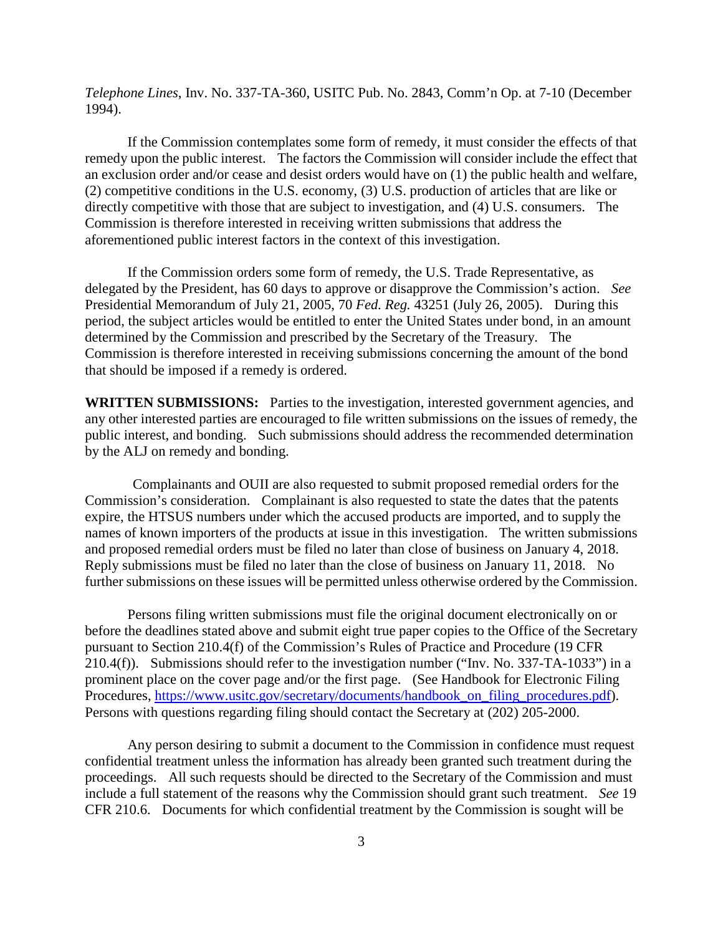*Telephone Lines*, Inv. No. 337-TA-360, USITC Pub. No. 2843, Comm'n Op. at 7-10 (December 1994).

If the Commission contemplates some form of remedy, it must consider the effects of that remedy upon the public interest. The factors the Commission will consider include the effect that an exclusion order and/or cease and desist orders would have on (1) the public health and welfare, (2) competitive conditions in the U.S. economy, (3) U.S. production of articles that are like or directly competitive with those that are subject to investigation, and (4) U.S. consumers. The Commission is therefore interested in receiving written submissions that address the aforementioned public interest factors in the context of this investigation.

If the Commission orders some form of remedy, the U.S. Trade Representative, as delegated by the President, has 60 days to approve or disapprove the Commission's action. *See*  Presidential Memorandum of July 21, 2005, 70 *Fed. Reg.* 43251 (July 26, 2005). During this period, the subject articles would be entitled to enter the United States under bond, in an amount determined by the Commission and prescribed by the Secretary of the Treasury. The Commission is therefore interested in receiving submissions concerning the amount of the bond that should be imposed if a remedy is ordered.

**WRITTEN SUBMISSIONS:** Parties to the investigation, interested government agencies, and any other interested parties are encouraged to file written submissions on the issues of remedy, the public interest, and bonding. Such submissions should address the recommended determination by the ALJ on remedy and bonding.

Complainants and OUII are also requested to submit proposed remedial orders for the Commission's consideration. Complainant is also requested to state the dates that the patents expire, the HTSUS numbers under which the accused products are imported, and to supply the names of known importers of the products at issue in this investigation. The written submissions and proposed remedial orders must be filed no later than close of business on January 4, 2018. Reply submissions must be filed no later than the close of business on January 11, 2018. No further submissions on these issues will be permitted unless otherwise ordered by the Commission.

Persons filing written submissions must file the original document electronically on or before the deadlines stated above and submit eight true paper copies to the Office of the Secretary pursuant to Section 210.4(f) of the Commission's Rules of Practice and Procedure (19 CFR 210.4(f)). Submissions should refer to the investigation number ("Inv. No. 337-TA-1033") in a prominent place on the cover page and/or the first page. (See Handbook for Electronic Filing Procedures, [https://www.usitc.gov/secretary/documents/handbook\\_on\\_filing\\_procedures.pdf\)](https://www.usitc.gov/secretary/documents/handbook_on_filing_procedures.pdf). Persons with questions regarding filing should contact the Secretary at (202) 205-2000.

Any person desiring to submit a document to the Commission in confidence must request confidential treatment unless the information has already been granted such treatment during the proceedings. All such requests should be directed to the Secretary of the Commission and must include a full statement of the reasons why the Commission should grant such treatment. *See* 19 CFR 210.6. Documents for which confidential treatment by the Commission is sought will be